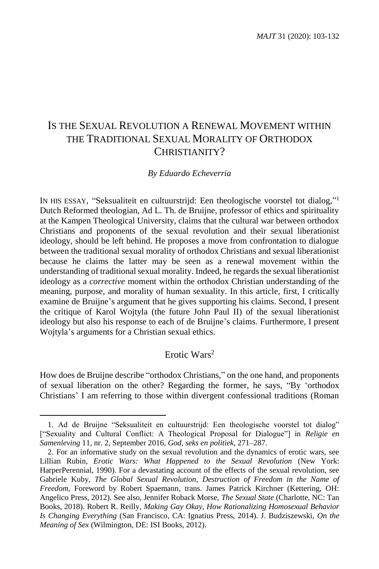# IS THE SEXUAL REVOLUTION A RENEWAL MOVEMENT WITHIN THE TRADITIONAL SEXUAL MORALITY OF ORTHODOX CHRISTIANITY?

#### *By Eduardo Echeverria*

IN HIS ESSAY, "Seksualiteit en cultuurstrijd: Een theologische voorstel tot dialog," 1 Dutch Reformed theologian, Ad L. Th. de Bruijne, professor of ethics and spirituality at the Kampen Theological University, claims that the cultural war between orthodox Christians and proponents of the sexual revolution and their sexual liberationist ideology, should be left behind. He proposes a move from confrontation to dialogue between the traditional sexual morality of orthodox Christians and sexual liberationist because he claims the latter may be seen as a renewal movement within the understanding of traditional sexual morality. Indeed, he regards the sexual liberationist ideology as a *corrective* moment within the orthodox Christian understanding of the meaning, purpose, and morality of human sexuality. In this article, first, I critically examine de Bruijne's argument that he gives supporting his claims. Second, I present the critique of Karol Wojtyla (the future John Paul II) of the sexual liberationist ideology but also his response to each of de Bruijne's claims. Furthermore, I present Wojtyla's arguments for a Christian sexual ethics.

## Erotic Wars<sup>2</sup>

How does de Bruijne describe "orthodox Christians," on the one hand, and proponents of sexual liberation on the other? Regarding the former, he says, "By 'orthodox Christians' I am referring to those within divergent confessional traditions (Roman

<sup>1.</sup> Ad de Bruijne "Seksualiteit en cultuurstrijd: Een theologische voorstel tot dialog" ["Sexuality and Cultural Conflict: A Theological Proposal for Dialogue"] in *Religie en Samenleving* 11, nr. 2, September 2016, *God, seks en politiek*, 271–287.

<sup>2.</sup> For an informative study on the sexual revolution and the dynamics of erotic wars, see Lillian Rubin, *Erotic Wars: What Happened to the Sexual Revolution* (New York: HarperPerennial, 1990). For a devastating account of the effects of the sexual revolution, see Gabriele Kuby, *The Global Sexual Revolution, Destruction of Freedom in the Name of Freedom,* Foreword by Robert Spaemann, trans. James Patrick Kirchner (Kettering, OH: Angelico Press, 2012). See also, Jennifer Roback Morse, *The Sexual State* (Charlotte, NC: Tan Books, 2018). Robert R. Reilly, *Making Gay Okay, How Rationalizing Homosexual Behavior Is Changing Everything* (San Francisco, CA: Ignatius Press, 2014). J. Budziszewski, *On the Meaning of Sex* (Wilmington, DE: ISI Books, 2012).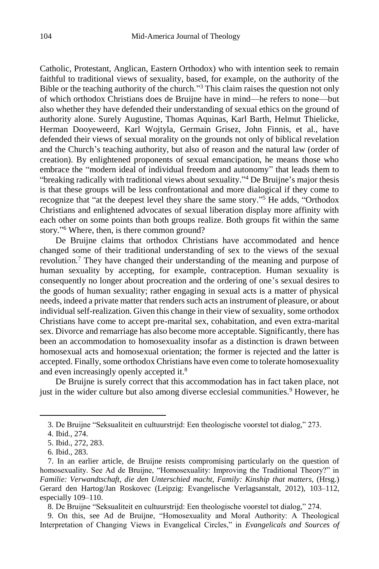Catholic, Protestant, Anglican, Eastern Orthodox) who with intention seek to remain faithful to traditional views of sexuality, based, for example, on the authority of the Bible or the teaching authority of the church."<sup>3</sup> This claim raises the question not only of which orthodox Christians does de Bruijne have in mind—he refers to none—but also whether they have defended their understanding of sexual ethics on the ground of authority alone. Surely Augustine, Thomas Aquinas, Karl Barth, Helmut Thielicke, Herman Dooyeweerd, Karl Wojtyla, Germain Grisez, John Finnis, et al., have defended their views of sexual morality on the grounds not only of biblical revelation and the Church's teaching authority, but also of reason and the natural law (order of creation). By enlightened proponents of sexual emancipation, he means those who embrace the "modern ideal of individual freedom and autonomy" that leads them to "breaking radically with traditional views about sexuality." <sup>4</sup> De Bruijne's major thesis is that these groups will be less confrontational and more dialogical if they come to recognize that "at the deepest level they share the same story." <sup>5</sup> He adds, "Orthodox Christians and enlightened advocates of sexual liberation display more affinity with each other on some points than both groups realize. Both groups fit within the same story." <sup>6</sup> Where, then, is there common ground?

De Bruijne claims that orthodox Christians have accommodated and hence changed some of their traditional understanding of sex to the views of the sexual revolution.<sup>7</sup> They have changed their understanding of the meaning and purpose of human sexuality by accepting, for example, contraception. Human sexuality is consequently no longer about procreation and the ordering of one's sexual desires to the goods of human sexuality; rather engaging in sexual acts is a matter of physical needs, indeed a private matter that renders such acts an instrument of pleasure, or about individual self-realization. Given this change in their view of sexuality, some orthodox Christians have come to accept pre-marital sex, cohabitation, and even extra-marital sex. Divorce and remarriage has also become more acceptable. Significantly, there has been an accommodation to homosexuality insofar as a distinction is drawn between homosexual acts and homosexual orientation; the former is rejected and the latter is accepted. Finally, some orthodox Christians have even come to tolerate homosexuality and even increasingly openly accepted it.<sup>8</sup>

De Bruijne is surely correct that this accommodation has in fact taken place, not just in the wider culture but also among diverse ecclesial communities.<sup>9</sup> However, he

 $\overline{a}$ 

8. De Bruijne "Seksualiteit en cultuurstrijd: Een theologische voorstel tot dialog," 274.

9. On this, see Ad de Bruijne, "Homosexuality and Moral Authority: A Theological Interpretation of Changing Views in Evangelical Circles," in *Evangelicals and Sources of* 

<sup>3.</sup> De Bruijne "Seksualiteit en cultuurstrijd: Een theologische voorstel tot dialog," 273.

<sup>4.</sup> Ibid., 274.

<sup>5.</sup> Ibid., 272, 283.

<sup>6.</sup> Ibid., 283.

<sup>7.</sup> In an earlier article, de Bruijne resists compromising particularly on the question of homosexuality. See Ad de Bruijne, "Homosexuality: Improving the Traditional Theory?" in *Familie: Verwandtschaft, die den Unterschied macht, Family: Kinship that matters*, (Hrsg.) Gerard den Hartog/Jan Roskovec (Leipzig: Evangelische Verlagsanstalt, 2012), 103–112, especially 109–110.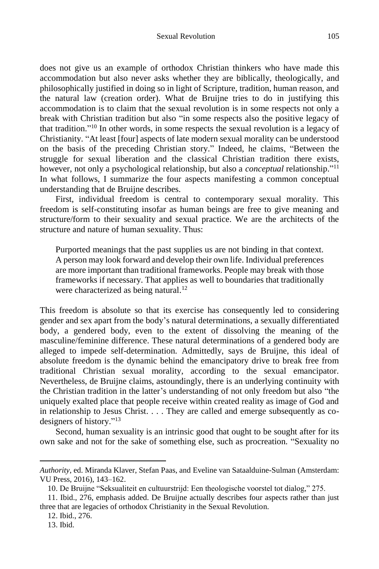does not give us an example of orthodox Christian thinkers who have made this accommodation but also never asks whether they are biblically, theologically, and philosophically justified in doing so in light of Scripture, tradition, human reason, and the natural law (creation order). What de Bruijne tries to do in justifying this accommodation is to claim that the sexual revolution is in some respects not only a break with Christian tradition but also "in some respects also the positive legacy of that tradition." <sup>10</sup> In other words, in some respects the sexual revolution is a legacy of Christianity. "At least [four] aspects of late modern sexual morality can be understood on the basis of the preceding Christian story." Indeed, he claims, "Between the struggle for sexual liberation and the classical Christian tradition there exists, however, not only a psychological relationship, but also a *conceptual* relationship." 11 In what follows, I summarize the four aspects manifesting a common conceptual understanding that de Bruijne describes.

First, individual freedom is central to contemporary sexual morality. This freedom is self-constituting insofar as human beings are free to give meaning and structure/form to their sexuality and sexual practice. We are the architects of the structure and nature of human sexuality. Thus:

Purported meanings that the past supplies us are not binding in that context. A person may look forward and develop their own life. Individual preferences are more important than traditional frameworks. People may break with those frameworks if necessary. That applies as well to boundaries that traditionally were characterized as being natural.<sup>12</sup>

This freedom is absolute so that its exercise has consequently led to considering gender and sex apart from the body's natural determinations, a sexually differentiated body, a gendered body, even to the extent of dissolving the meaning of the masculine/feminine difference. These natural determinations of a gendered body are alleged to impede self-determination. Admittedly, says de Bruijne, this ideal of absolute freedom is the dynamic behind the emancipatory drive to break free from traditional Christian sexual morality, according to the sexual emancipator. Nevertheless, de Bruijne claims, astoundingly, there is an underlying continuity with the Christian tradition in the latter's understanding of not only freedom but also "the uniquely exalted place that people receive within created reality as image of God and in relationship to Jesus Christ. . . . They are called and emerge subsequently as codesigners of history." 13

Second, human sexuality is an intrinsic good that ought to be sought after for its own sake and not for the sake of something else, such as procreation. "Sexuality no

13. Ibid.

*Authority*, ed. Miranda Klaver, Stefan Paas, and Eveline van Sataalduine-Sulman (Amsterdam: VU Press, 2016), 143–162.

<sup>10.</sup> De Bruijne "Seksualiteit en cultuurstrijd: Een theologische voorstel tot dialog," 275.

<sup>11.</sup> Ibid., 276, emphasis added. De Bruijne actually describes four aspects rather than just three that are legacies of orthodox Christianity in the Sexual Revolution.

<sup>12.</sup> Ibid., 276.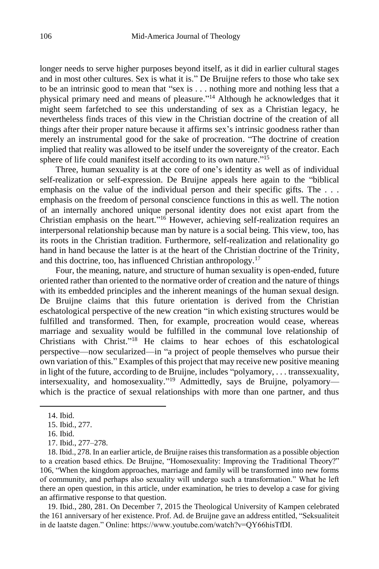longer needs to serve higher purposes beyond itself, as it did in earlier cultural stages and in most other cultures. Sex is what it is." De Bruijne refers to those who take sex to be an intrinsic good to mean that "sex is . . . nothing more and nothing less that a physical primary need and means of pleasure." <sup>14</sup> Although he acknowledges that it might seem farfetched to see this understanding of sex as a Christian legacy, he nevertheless finds traces of this view in the Christian doctrine of the creation of all things after their proper nature because it affirms sex's intrinsic goodness rather than merely an instrumental good for the sake of procreation. "The doctrine of creation implied that reality was allowed to be itself under the sovereignty of the creator. Each sphere of life could manifest itself according to its own nature."<sup>15</sup>

Three, human sexuality is at the core of one's identity as well as of individual self-realization or self-expression. De Bruijne appeals here again to the "biblical emphasis on the value of the individual person and their specific gifts. The . . . emphasis on the freedom of personal conscience functions in this as well. The notion of an internally anchored unique personal identity does not exist apart from the Christian emphasis on the heart." <sup>16</sup> However, achieving self-realization requires an interpersonal relationship because man by nature is a social being. This view, too, has its roots in the Christian tradition. Furthermore, self-realization and relationality go hand in hand because the latter is at the heart of the Christian doctrine of the Trinity, and this doctrine, too, has influenced Christian anthropology.<sup>17</sup>

Four, the meaning, nature, and structure of human sexuality is open-ended, future oriented rather than oriented to the normative order of creation and the nature of things with its embedded principles and the inherent meanings of the human sexual design. De Bruijne claims that this future orientation is derived from the Christian eschatological perspective of the new creation "in which existing structures would be fulfilled and transformed. Then, for example, procreation would cease, whereas marriage and sexuality would be fulfilled in the communal love relationship of Christians with Christ."<sup>18</sup> He claims to hear echoes of this eschatological perspective—now secularized—in "a project of people themselves who pursue their own variation of this." Examples of this project that may receive new positive meaning in light of the future, according to de Bruijne, includes "polyamory, . . . transsexuality, intersexuality, and homosexuality."<sup>19</sup> Admittedly, says de Bruijne, polyamory which is the practice of sexual relationships with more than one partner, and thus

 $\overline{\phantom{a}}$ 

19. Ibid., 280, 281. On December 7, 2015 the Theological University of Kampen celebrated the 161 anniversary of her existence. Prof. Ad. de Bruijne gave an address entitled, "Seksualiteit in de laatste dagen." Online: https://www.youtube.com/watch?v=QY66hisTfDI.

<sup>14.</sup> Ibid.

<sup>15.</sup> Ibid., 277.

<sup>16.</sup> Ibid.

<sup>17.</sup> Ibid., 277–278.

<sup>18.</sup> Ibid., 278. In an earlier article, de Bruijne raises this transformation as a possible objection to a creation based ethics. De Bruijne, "Homosexuality: Improving the Traditional Theory?" 106, "When the kingdom approaches, marriage and family will be transformed into new forms of community, and perhaps also sexuality will undergo such a transformation." What he left there an open question, in this article, under examination, he tries to develop a case for giving an affirmative response to that question.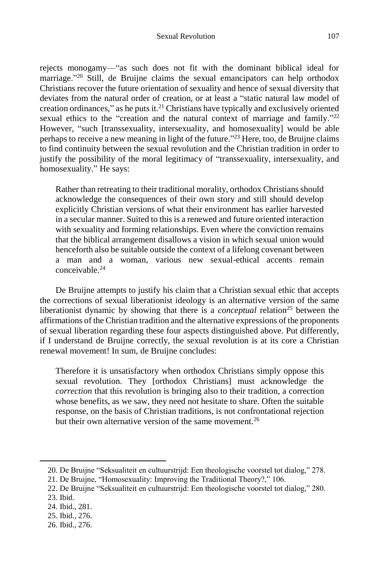rejects monogamy—"as such does not fit with the dominant biblical ideal for marriage."<sup>20</sup> Still, de Bruijne claims the sexual emancipators can help orthodox Christians recover the future orientation of sexuality and hence of sexual diversity that deviates from the natural order of creation, or at least a "static natural law model of creation ordinances," as he puts it. $^{21}$  Christians have typically and exclusively oriented sexual ethics to the "creation and the natural context of marriage and family."<sup>22</sup> However, "such [transsexuality, intersexuality, and homosexuality] would be able perhaps to receive a new meaning in light of the future." <sup>23</sup> Here, too, de Bruijne claims to find continuity between the sexual revolution and the Christian tradition in order to justify the possibility of the moral legitimacy of "transsexuality, intersexuality, and homosexuality." He says:

Rather than retreating to their traditional morality, orthodox Christians should acknowledge the consequences of their own story and still should develop explicitly Christian versions of what their environment has earlier harvested in a secular manner. Suited to this is a renewed and future oriented interaction with sexuality and forming relationships. Even where the conviction remains that the biblical arrangement disallows a vision in which sexual union would henceforth also be suitable outside the context of a lifelong covenant between a man and a woman, various new sexual-ethical accents remain conceivable. 24

De Bruijne attempts to justify his claim that a Christian sexual ethic that accepts the corrections of sexual liberationist ideology is an alternative version of the same liberationist dynamic by showing that there is a *conceptual* relation<sup>25</sup> between the affirmations of the Christian tradition and the alternative expressions of the proponents of sexual liberation regarding these four aspects distinguished above. Put differently, if I understand de Bruijne correctly, the sexual revolution is at its core a Christian renewal movement! In sum, de Bruijne concludes:

Therefore it is unsatisfactory when orthodox Christians simply oppose this sexual revolution. They [orthodox Christians] must acknowledge the *correction* that this revolution is bringing also to their tradition, a correction whose benefits, as we saw, they need not hesitate to share. Often the suitable response, on the basis of Christian traditions, is not confrontational rejection but their own alternative version of the same movement.<sup>26</sup>

<sup>20.</sup> De Bruijne "Seksualiteit en cultuurstrijd: Een theologische voorstel tot dialog," 278.

<sup>21.</sup> De Bruijne, "Homosexuality: Improving the Traditional Theory?," 106.

<sup>22.</sup> De Bruijne "Seksualiteit en cultuurstrijd: Een theologische voorstel tot dialog," 280.

<sup>23.</sup> Ibid.

<sup>24.</sup> Ibid., 281.

<sup>25.</sup> Ibid., 276.

<sup>26.</sup> Ibid., 276.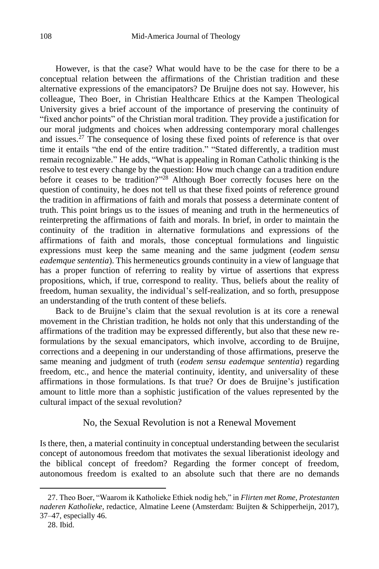However, is that the case? What would have to be the case for there to be a conceptual relation between the affirmations of the Christian tradition and these alternative expressions of the emancipators? De Bruijne does not say. However, his colleague, Theo Boer, in Christian Healthcare Ethics at the Kampen Theological University gives a brief account of the importance of preserving the continuity of "fixed anchor points" of the Christian moral tradition. They provide a justification for our moral judgments and choices when addressing contemporary moral challenges and issues.<sup>27</sup> The consequence of losing these fixed points of reference is that over time it entails "the end of the entire tradition." "Stated differently, a tradition must remain recognizable." He adds, "What is appealing in Roman Catholic thinking is the resolve to test every change by the question: How much change can a tradition endure before it ceases to be tradition?" <sup>28</sup> Although Boer correctly focuses here on the question of continuity, he does not tell us that these fixed points of reference ground the tradition in affirmations of faith and morals that possess a determinate content of truth. This point brings us to the issues of meaning and truth in the hermeneutics of reinterpreting the affirmations of faith and morals. In brief, in order to maintain the continuity of the tradition in alternative formulations and expressions of the affirmations of faith and morals, those conceptual formulations and linguistic expressions must keep the same meaning and the same judgment (*eodem sensu eademque sententia*). This hermeneutics grounds continuity in a view of language that has a proper function of referring to reality by virtue of assertions that express propositions, which, if true, correspond to reality. Thus, beliefs about the reality of freedom, human sexuality, the individual's self-realization, and so forth, presuppose an understanding of the truth content of these beliefs.

Back to de Bruijne's claim that the sexual revolution is at its core a renewal movement in the Christian tradition, he holds not only that this understanding of the affirmations of the tradition may be expressed differently, but also that these new reformulations by the sexual emancipators, which involve, according to de Bruijne, corrections and a deepening in our understanding of those affirmations, preserve the same meaning and judgment of truth (*eodem sensu eademque sententia*) regarding freedom, etc., and hence the material continuity, identity, and universality of these affirmations in those formulations. Is that true? Or does de Bruijne's justification amount to little more than a sophistic justification of the values represented by the cultural impact of the sexual revolution?

### No, the Sexual Revolution is not a Renewal Movement

Is there, then, a material continuity in conceptual understanding between the secularist concept of autonomous freedom that motivates the sexual liberationist ideology and the biblical concept of freedom? Regarding the former concept of freedom, autonomous freedom is exalted to an absolute such that there are no demands

<sup>27.</sup> Theo Boer, "Waarom ik Katholieke Ethiek nodig heb," in *Flirten met Rome, Protestanten naderen Katholieke*, redactice, Almatine Leene (Amsterdam: Buijten & Schipperheijn, 2017), 37–47, especially 46.

<sup>28.</sup> Ibid.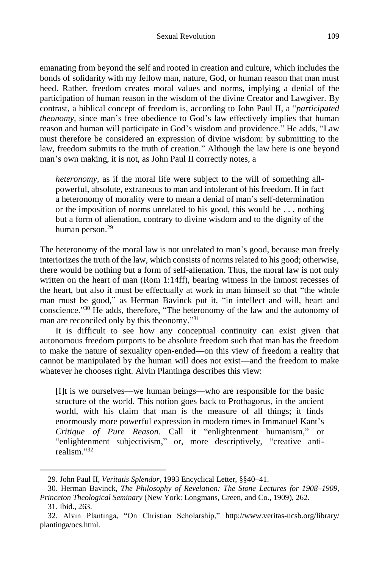emanating from beyond the self and rooted in creation and culture, which includes the bonds of solidarity with my fellow man, nature, God, or human reason that man must heed. Rather, freedom creates moral values and norms, implying a denial of the participation of human reason in the wisdom of the divine Creator and Lawgiver. By contrast, a biblical concept of freedom is, according to John Paul II, a "*participated theonomy,* since man's free obedience to God's law effectively implies that human reason and human will participate in God's wisdom and providence." He adds, "Law must therefore be considered an expression of divine wisdom: by submitting to the law, freedom submits to the truth of creation." Although the law here is one beyond man's own making, it is not, as John Paul II correctly notes, a

*heteronomy,* as if the moral life were subject to the will of something allpowerful, absolute, extraneous to man and intolerant of his freedom. If in fact a heteronomy of morality were to mean a denial of man's self-determination or the imposition of norms unrelated to his good, this would be . . . nothing but a form of alienation, contrary to divine wisdom and to the dignity of the human person.<sup>29</sup>

The heteronomy of the moral law is not unrelated to man's good, because man freely interiorizes the truth of the law, which consists of norms related to his good; otherwise, there would be nothing but a form of self-alienation. Thus, the moral law is not only written on the heart of man (Rom 1:14ff), bearing witness in the inmost recesses of the heart, but also it must be effectually at work in man himself so that "the whole man must be good," as Herman Bavinck put it, "in intellect and will, heart and conscience." <sup>30</sup> He adds, therefore, "The heteronomy of the law and the autonomy of man are reconciled only by this theonomy."<sup>31</sup>

It is difficult to see how any conceptual continuity can exist given that autonomous freedom purports to be absolute freedom such that man has the freedom to make the nature of sexuality open-ended—on this view of freedom a reality that cannot be manipulated by the human will does not exist—and the freedom to make whatever he chooses right. Alvin Plantinga describes this view:

[I]t is we ourselves—we human beings—who are responsible for the basic structure of the world. This notion goes back to Prothagorus, in the ancient world, with his claim that man is the measure of all things; it finds enormously more powerful expression in modern times in Immanuel Kant's *Critique of Pure Reason*. Call it "enlightenment humanism," or "enlightenment subjectivism," or, more descriptively, "creative antirealism." 32

<sup>29.</sup> John Paul II, *Veritatis Splendor*, 1993 Encyclical Letter, §§40–41.

<sup>30.</sup> Herman Bavinck, *The Philosophy of Revelation: The Stone Lectures for 1908–1909, Princeton Theological Seminary* (New York: Longmans, Green, and Co., 1909), 262.

<sup>31.</sup> Ibid., 263.

<sup>32.</sup> Alvin Plantinga, "On Christian Scholarship," http://www.veritas-ucsb.org/library/ plantinga/ocs.html.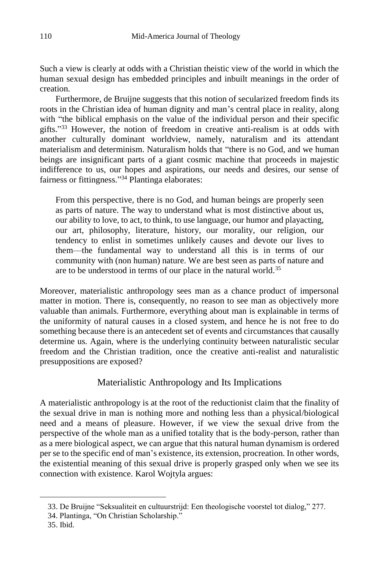Such a view is clearly at odds with a Christian theistic view of the world in which the human sexual design has embedded principles and inbuilt meanings in the order of creation.

Furthermore, de Bruijne suggests that this notion of secularized freedom finds its roots in the Christian idea of human dignity and man's central place in reality, along with "the biblical emphasis on the value of the individual person and their specific gifts."<sup>33</sup> However, the notion of freedom in creative anti-realism is at odds with another culturally dominant worldview, namely, naturalism and its attendant materialism and determinism. Naturalism holds that "there is no God, and we human beings are insignificant parts of a giant cosmic machine that proceeds in majestic indifference to us, our hopes and aspirations, our needs and desires, our sense of fairness or fittingness." <sup>34</sup> Plantinga elaborates:

From this perspective, there is no God, and human beings are properly seen as parts of nature. The way to understand what is most distinctive about us, our ability to love, to act, to think, to use language, our humor and playacting, our art, philosophy, literature, history, our morality, our religion, our tendency to enlist in sometimes unlikely causes and devote our lives to them—the fundamental way to understand all this is in terms of our community with (non human) nature. We are best seen as parts of nature and are to be understood in terms of our place in the natural world.<sup>35</sup>

Moreover, materialistic anthropology sees man as a chance product of impersonal matter in motion. There is, consequently, no reason to see man as objectively more valuable than animals. Furthermore, everything about man is explainable in terms of the uniformity of natural causes in a closed system, and hence he is not free to do something because there is an antecedent set of events and circumstances that causally determine us. Again, where is the underlying continuity between naturalistic secular freedom and the Christian tradition, once the creative anti-realist and naturalistic presuppositions are exposed?

## Materialistic Anthropology and Its Implications

A materialistic anthropology is at the root of the reductionist claim that the finality of the sexual drive in man is nothing more and nothing less than a physical/biological need and a means of pleasure. However, if we view the sexual drive from the perspective of the whole man as a unified totality that is the body-person, rather than as a mere biological aspect, we can argue that this natural human dynamism is ordered per se to the specific end of man's existence, its extension, procreation. In other words, the existential meaning of this sexual drive is properly grasped only when we see its connection with existence. Karol Wojtyla argues:

<sup>33.</sup> De Bruijne "Seksualiteit en cultuurstrijd: Een theologische voorstel tot dialog," 277.

<sup>34.</sup> Plantinga, "On Christian Scholarship."

<sup>35.</sup> Ibid.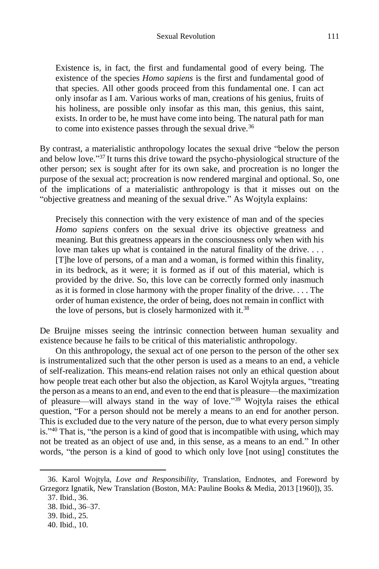Existence is, in fact, the first and fundamental good of every being. The existence of the species *Homo sapiens* is the first and fundamental good of that species. All other goods proceed from this fundamental one. I can act only insofar as I am. Various works of man, creations of his genius, fruits of his holiness, are possible only insofar as this man, this genius, this saint, exists. In order to be, he must have come into being. The natural path for man to come into existence passes through the sexual drive.<sup>36</sup>

By contrast, a materialistic anthropology locates the sexual drive "below the person and below love." <sup>37</sup> It turns this drive toward the psycho-physiological structure of the other person; sex is sought after for its own sake, and procreation is no longer the purpose of the sexual act; procreation is now rendered marginal and optional. So, one of the implications of a materialistic anthropology is that it misses out on the "objective greatness and meaning of the sexual drive." As Wojtyla explains:

Precisely this connection with the very existence of man and of the species *Homo sapiens* confers on the sexual drive its objective greatness and meaning. But this greatness appears in the consciousness only when with his love man takes up what is contained in the natural finality of the drive. . . . [T]he love of persons, of a man and a woman, is formed within this finality, in its bedrock, as it were; it is formed as if out of this material, which is provided by the drive. So, this love can be correctly formed only inasmuch as it is formed in close harmony with the proper finality of the drive. . . . The order of human existence, the order of being, does not remain in conflict with the love of persons, but is closely harmonized with it.<sup>38</sup>

De Bruijne misses seeing the intrinsic connection between human sexuality and existence because he fails to be critical of this materialistic anthropology.

On this anthropology, the sexual act of one person to the person of the other sex is instrumentalized such that the other person is used as a means to an end, a vehicle of self-realization. This means-end relation raises not only an ethical question about how people treat each other but also the objection, as Karol Wojtyla argues, "treating the person as a means to an end, and even to the end that is pleasure—the maximization of pleasure—will always stand in the way of love." <sup>39</sup> Wojtyla raises the ethical question, "For a person should not be merely a means to an end for another person. This is excluded due to the very nature of the person, due to what every person simply is." <sup>40</sup> That is, "the person is a kind of good that is incompatible with using, which may not be treated as an object of use and, in this sense, as a means to an end." In other words, "the person is a kind of good to which only love [not using] constitutes the

<sup>36.</sup> Karol Wojtyla, *Love and Responsibility*, Translation, Endnotes, and Foreword by Grzegorz Ignatik, New Translation (Boston, MA: Pauline Books & Media, 2013 [1960]), 35.

<sup>37.</sup> Ibid., 36.

<sup>38.</sup> Ibid., 36–37.

<sup>39.</sup> Ibid., 25.

<sup>40.</sup> Ibid., 10.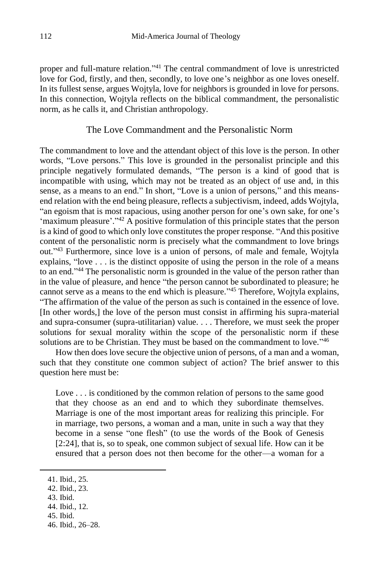proper and full-mature relation." <sup>41</sup> The central commandment of love is unrestricted love for God, firstly, and then, secondly, to love one's neighbor as one loves oneself. In its fullest sense, argues Wojtyla, love for neighbors is grounded in love for persons. In this connection, Wojtyla reflects on the biblical commandment, the personalistic norm, as he calls it, and Christian anthropology.

### The Love Commandment and the Personalistic Norm

The commandment to love and the attendant object of this love is the person. In other words, "Love persons." This love is grounded in the personalist principle and this principle negatively formulated demands, "The person is a kind of good that is incompatible with using, which may not be treated as an object of use and, in this sense, as a means to an end." In short, "Love is a union of persons," and this meansend relation with the end being pleasure, reflects a subjectivism, indeed, adds Wojtyla, "an egoism that is most rapacious, using another person for one's own sake, for one's 'maximum pleasure'."<sup>42</sup> A positive formulation of this principle states that the person is a kind of good to which only love constitutes the proper response. "And this positive content of the personalistic norm is precisely what the commandment to love brings out." <sup>43</sup> Furthermore, since love is a union of persons, of male and female, Wojtyla explains, "love . . . is the distinct opposite of using the person in the role of a means to an end."<sup>44</sup> The personalistic norm is grounded in the value of the person rather than in the value of pleasure, and hence "the person cannot be subordinated to pleasure; he cannot serve as a means to the end which is pleasure."<sup>45</sup> Therefore, Wojtyla explains, "The affirmation of the value of the person as such is contained in the essence of love. [In other words,] the love of the person must consist in affirming his supra-material and supra-consumer (supra-utilitarian) value. . . . Therefore, we must seek the proper solutions for sexual morality within the scope of the personalistic norm if these solutions are to be Christian. They must be based on the commandment to love."46

How then does love secure the objective union of persons, of a man and a woman, such that they constitute one common subject of action? The brief answer to this question here must be:

Love . . . is conditioned by the common relation of persons to the same good that they choose as an end and to which they subordinate themselves. Marriage is one of the most important areas for realizing this principle. For in marriage, two persons, a woman and a man, unite in such a way that they become in a sense "one flesh" (to use the words of the Book of Genesis [2:24], that is, so to speak, one common subject of sexual life. How can it be ensured that a person does not then become for the other—a woman for a

 $\overline{\phantom{a}}$ 

45. Ibid.

<sup>41.</sup> Ibid., 25.

<sup>42.</sup> Ibid., 23.

<sup>43.</sup> Ibid.

<sup>44.</sup> Ibid., 12.

<sup>46.</sup> Ibid., 26–28.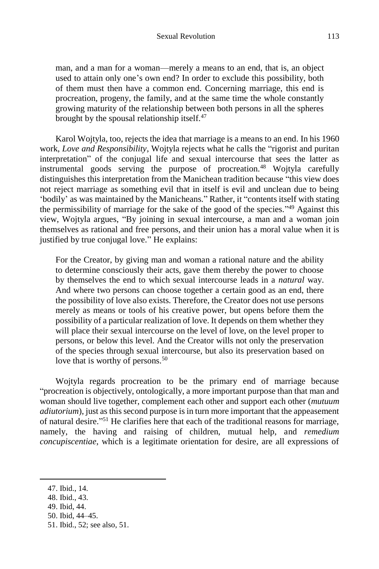man, and a man for a woman—merely a means to an end, that is, an object used to attain only one's own end? In order to exclude this possibility, both of them must then have a common end. Concerning marriage, this end is procreation, progeny, the family, and at the same time the whole constantly growing maturity of the relationship between both persons in all the spheres brought by the spousal relationship itself.<sup>47</sup>

Karol Wojtyla, too, rejects the idea that marriage is a means to an end. In his 1960 work, *Love and Responsibility*, Wojtyla rejects what he calls the "rigorist and puritan interpretation" of the conjugal life and sexual intercourse that sees the latter as instrumental goods serving the purpose of procreation.<sup>48</sup> Wojtyla carefully distinguishes this interpretation from the Manichean tradition because "this view does not reject marriage as something evil that in itself is evil and unclean due to being 'bodily' as was maintained by the Manicheans." Rather, it "contents itself with stating the permissibility of marriage for the sake of the good of the species." <sup>49</sup> Against this view, Wojtyla argues, "By joining in sexual intercourse, a man and a woman join themselves as rational and free persons, and their union has a moral value when it is justified by true conjugal love." He explains:

For the Creator, by giving man and woman a rational nature and the ability to determine consciously their acts, gave them thereby the power to choose by themselves the end to which sexual intercourse leads in a *natural* way. And where two persons can choose together a certain good as an end, there the possibility of love also exists. Therefore, the Creator does not use persons merely as means or tools of his creative power, but opens before them the possibility of a particular realization of love. It depends on them whether they will place their sexual intercourse on the level of love, on the level proper to persons, or below this level. And the Creator wills not only the preservation of the species through sexual intercourse, but also its preservation based on love that is worthy of persons.<sup>50</sup>

Wojtyla regards procreation to be the primary end of marriage because "procreation is objectively, ontologically, a more important purpose than that man and woman should live together, complement each other and support each other (*mutuum adiutorium*), just as this second purpose is in turn more important that the appeasement of natural desire." <sup>51</sup> He clarifies here that each of the traditional reasons for marriage, namely, the having and raising of children, mutual help, and *remedium concupiscentiae*, which is a legitimate orientation for desire, are all expressions of

 $\overline{\phantom{a}}$ 

49. Ibid, 44.

<sup>47.</sup> Ibid., 14.

<sup>48.</sup> Ibid., 43.

<sup>50.</sup> Ibid, 44–45.

<sup>51.</sup> Ibid., 52; see also, 51.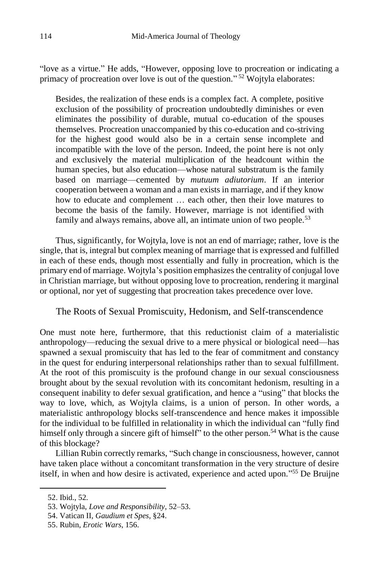"love as a virtue." He adds, "However, opposing love to procreation or indicating a primacy of procreation over love is out of the question."<sup>52</sup> Wojtyla elaborates:

Besides, the realization of these ends is a complex fact. A complete, positive exclusion of the possibility of procreation undoubtedly diminishes or even eliminates the possibility of durable, mutual co-education of the spouses themselves. Procreation unaccompanied by this co-education and co-striving for the highest good would also be in a certain sense incomplete and incompatible with the love of the person. Indeed, the point here is not only and exclusively the material multiplication of the headcount within the human species, but also education—whose natural substratum is the family based on marriage—cemented by *mutuum adiutorium*. If an interior cooperation between a woman and a man exists in marriage, and if they know how to educate and complement … each other, then their love matures to become the basis of the family. However, marriage is not identified with family and always remains, above all, an intimate union of two people.<sup>53</sup>

Thus, significantly, for Wojtyla, love is not an end of marriage; rather, love is the single, that is, integral but complex meaning of marriage that is expressed and fulfilled in each of these ends, though most essentially and fully in procreation, which is the primary end of marriage. Wojtyla's position emphasizes the centrality of conjugal love in Christian marriage, but without opposing love to procreation, rendering it marginal or optional, nor yet of suggesting that procreation takes precedence over love.

The Roots of Sexual Promiscuity, Hedonism, and Self-transcendence

One must note here, furthermore, that this reductionist claim of a materialistic anthropology—reducing the sexual drive to a mere physical or biological need—has spawned a sexual promiscuity that has led to the fear of commitment and constancy in the quest for enduring interpersonal relationships rather than to sexual fulfillment. At the root of this promiscuity is the profound change in our sexual consciousness brought about by the sexual revolution with its concomitant hedonism, resulting in a consequent inability to defer sexual gratification, and hence a "using" that blocks the way to love, which, as Wojtyla claims, is a union of person. In other words, a materialistic anthropology blocks self-transcendence and hence makes it impossible for the individual to be fulfilled in relationality in which the individual can "fully find himself only through a sincere gift of himself" to the other person.<sup>54</sup> What is the cause of this blockage?

Lillian Rubin correctly remarks, "Such change in consciousness, however, cannot have taken place without a concomitant transformation in the very structure of desire itself, in when and how desire is activated, experience and acted upon." <sup>55</sup> De Bruijne

<sup>52.</sup> Ibid., 52.

<sup>53.</sup> Wojtyla, *Love and Responsibility*, 52–53.

<sup>54.</sup> Vatican II, *Gaudium et Spes*, §24.

<sup>55.</sup> Rubin, *Erotic Wars*, 156.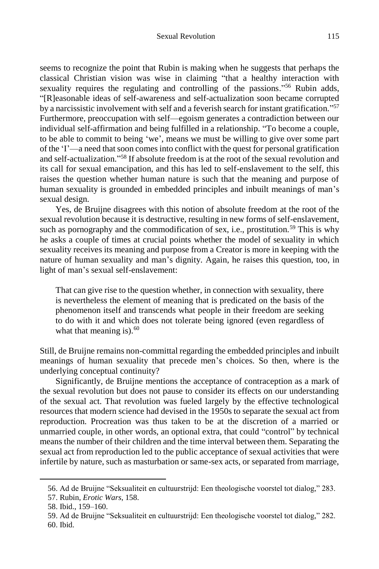seems to recognize the point that Rubin is making when he suggests that perhaps the classical Christian vision was wise in claiming "that a healthy interaction with sexuality requires the regulating and controlling of the passions."<sup>56</sup> Rubin adds, "[R]easonable ideas of self-awareness and self-actualization soon became corrupted by a narcissistic involvement with self and a feverish search for instant gratification."<sup>57</sup> Furthermore, preoccupation with self—egoism generates a contradiction between our individual self-affirmation and being fulfilled in a relationship. "To become a couple, to be able to commit to being 'we', means we must be willing to give over some part of the 'I'—a need that soon comes into conflict with the quest for personal gratification and self-actualization." <sup>58</sup> If absolute freedom is at the root of the sexual revolution and its call for sexual emancipation, and this has led to self-enslavement to the self, this raises the question whether human nature is such that the meaning and purpose of human sexuality is grounded in embedded principles and inbuilt meanings of man's sexual design.

Yes, de Bruijne disagrees with this notion of absolute freedom at the root of the sexual revolution because it is destructive, resulting in new forms of self-enslavement, such as pornography and the commodification of sex, i.e., prostitution.<sup>59</sup> This is why he asks a couple of times at crucial points whether the model of sexuality in which sexuality receives its meaning and purpose from a Creator is more in keeping with the nature of human sexuality and man's dignity. Again, he raises this question, too, in light of man's sexual self-enslavement:

That can give rise to the question whether, in connection with sexuality, there is nevertheless the element of meaning that is predicated on the basis of the phenomenon itself and transcends what people in their freedom are seeking to do with it and which does not tolerate being ignored (even regardless of what that meaning is). $60$ 

Still, de Bruijne remains non-committal regarding the embedded principles and inbuilt meanings of human sexuality that precede men's choices. So then, where is the underlying conceptual continuity?

Significantly, de Bruijne mentions the acceptance of contraception as a mark of the sexual revolution but does not pause to consider its effects on our understanding of the sexual act. That revolution was fueled largely by the effective technological resources that modern science had devised in the 1950s to separate the sexual act from reproduction. Procreation was thus taken to be at the discretion of a married or unmarried couple, in other words, an optional extra, that could "control" by technical means the number of their children and the time interval between them. Separating the sexual act from reproduction led to the public acceptance of sexual activities that were infertile by nature, such as masturbation or same-sex acts, or separated from marriage,

<sup>56.</sup> Ad de Bruijne "Seksualiteit en cultuurstrijd: Een theologische voorstel tot dialog," 283.

<sup>57.</sup> Rubin, *Erotic Wars*, 158.

<sup>58.</sup> Ibid., 159–160.

<sup>59.</sup> Ad de Bruijne "Seksualiteit en cultuurstrijd: Een theologische voorstel tot dialog," 282. 60. Ibid.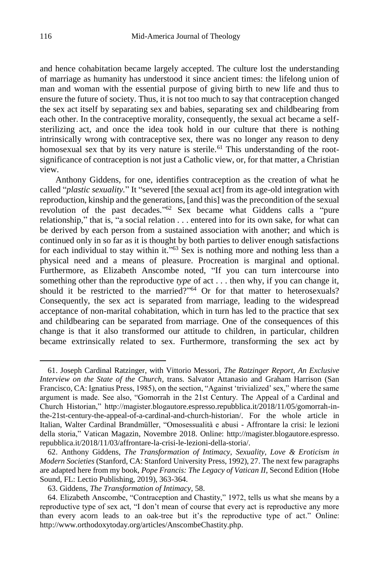and hence cohabitation became largely accepted. The culture lost the understanding of marriage as humanity has understood it since ancient times: the lifelong union of man and woman with the essential purpose of giving birth to new life and thus to ensure the future of society. Thus, it is not too much to say that contraception changed the sex act itself by separating sex and babies, separating sex and childbearing from each other. In the contraceptive morality, consequently, the sexual act became a selfsterilizing act, and once the idea took hold in our culture that there is nothing intrinsically wrong with contraceptive sex, there was no longer any reason to deny homosexual sex that by its very nature is sterile.<sup>61</sup> This understanding of the rootsignificance of contraception is not just a Catholic view, or, for that matter, a Christian view.

Anthony Giddens, for one, identifies contraception as the creation of what he called "*plastic sexuality.*" It "severed [the sexual act] from its age-old integration with reproduction, kinship and the generations, [and this] was the precondition of the sexual revolution of the past decades."<sup>62</sup> Sex became what Giddens calls a "pure relationship," that is, "a social relation . . . entered into for its own sake, for what can be derived by each person from a sustained association with another; and which is continued only in so far as it is thought by both parties to deliver enough satisfactions for each individual to stay within it."<sup>63</sup> Sex is nothing more and nothing less than a physical need and a means of pleasure. Procreation is marginal and optional. Furthermore, as Elizabeth Anscombe noted, "If you can turn intercourse into something other than the reproductive *type* of act . . . then why, if you can change it, should it be restricted to the married?" <sup>64</sup> Or for that matter to heterosexuals? Consequently, the sex act is separated from marriage, leading to the widespread acceptance of non-marital cohabitation, which in turn has led to the practice that sex and childbearing can be separated from marriage. One of the consequences of this change is that it also transformed our attitude to children, in particular, children became extrinsically related to sex. Furthermore, transforming the sex act by

<sup>61.</sup> Joseph Cardinal Ratzinger, with Vittorio Messori, *The Ratzinger Report, An Exclusive Interview on the State of the Church*, trans. Salvator Attanasio and Graham Harrison (San Francisco, CA: Ignatius Press, 1985), on the section, "Against 'trivialized' sex," where the same argument is made. See also, "Gomorrah in the 21st Century. The Appeal of a Cardinal and Church Historian," http://magister.blogautore.espresso.repubblica.it/2018/11/05/gomorrah-inthe-21st-century-the-appeal-of-a-cardinal-and-church-historian/. For the whole article in Italian, Walter Cardinal Brandmüller, "Omosessualità e abusi - Affrontare la crisi: le lezioni della storia," Vatican Magazin, Novembre 2018. Online: http://magister.blogautore.espresso. repubblica.it/2018/11/03/affrontare-la-crisi-le-lezioni-della-storia/.

<sup>62.</sup> Anthony Giddens, *The Transformation of Intimacy, Sexuality, Love & Eroticism in Modern Societies* (Stanford, CA: Stanford University Press, 1992), 27. The next few paragraphs are adapted here from my book, *Pope Francis: The Legacy of Vatican II*, Second Edition (Hobe Sound, FL: Lectio Publishing, 2019), 363-364.

<sup>63.</sup> Giddens, *The Transformation of Intimacy,* 58.

<sup>64.</sup> Elizabeth Anscombe, "Contraception and Chastity," 1972, tells us what she means by a reproductive type of sex act, "I don't mean of course that every act is reproductive any more than every acorn leads to an oak-tree but it's the reproductive type of act." Online: http://www.orthodoxytoday.org/articles/AnscombeChastity.php.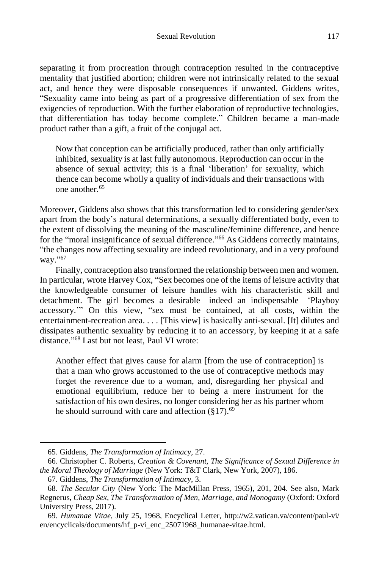separating it from procreation through contraception resulted in the contraceptive mentality that justified abortion; children were not intrinsically related to the sexual act, and hence they were disposable consequences if unwanted. Giddens writes, "Sexuality came into being as part of a progressive differentiation of sex from the exigencies of reproduction. With the further elaboration of reproductive technologies, that differentiation has today become complete." Children became a man-made product rather than a gift, a fruit of the conjugal act.

Now that conception can be artificially produced, rather than only artificially inhibited, sexuality is at last fully autonomous. Reproduction can occur in the absence of sexual activity; this is a final 'liberation' for sexuality, which thence can become wholly a quality of individuals and their transactions with one another.<sup>65</sup>

Moreover, Giddens also shows that this transformation led to considering gender/sex apart from the body's natural determinations, a sexually differentiated body, even to the extent of dissolving the meaning of the masculine/feminine difference, and hence for the "moral insignificance of sexual difference."<sup>66</sup> As Giddens correctly maintains, "the changes now affecting sexuality are indeed revolutionary, and in a very profound way."<sup>67</sup>

Finally, contraception also transformed the relationship between men and women. In particular, wrote Harvey Cox, "Sex becomes one of the items of leisure activity that the knowledgeable consumer of leisure handles with his characteristic skill and detachment. The girl becomes a desirable—indeed an indispensable—'Playboy accessory.'" On this view, "sex must be contained, at all costs, within the entertainment-recreation area. . . . [This view] is basically anti-sexual. [It] dilutes and dissipates authentic sexuality by reducing it to an accessory, by keeping it at a safe distance." <sup>68</sup> Last but not least, Paul VI wrote:

Another effect that gives cause for alarm [from the use of contraception] is that a man who grows accustomed to the use of contraceptive methods may forget the reverence due to a woman, and, disregarding her physical and emotional equilibrium, reduce her to being a mere instrument for the satisfaction of his own desires, no longer considering her as his partner whom he should surround with care and affection  $(\S 17)$ .<sup>69</sup>

<sup>65.</sup> Giddens, *The Transformation of Intimacy,* 27.

<sup>66.</sup> Christopher C. Roberts, *Creation & Covenant, The Significance of Sexual Difference in the Moral Theology of Marriage* (New York: T&T Clark, New York, 2007), 186.

<sup>67.</sup> Giddens, *The Transformation of Intimacy,* 3.

<sup>68.</sup> *The Secular City* (New York: The MacMillan Press, 1965), 201, 204. See also, Mark Regnerus, *Cheap Sex, The Transformation of Men, Marriage, and Monogamy* (Oxford: Oxford University Press, 2017).

<sup>69.</sup> *Humanae Vitae*, July 25, 1968, Encyclical Letter, http://w2.vatican.va/content/paul-vi/ en/encyclicals/documents/hf\_p-vi\_enc\_25071968\_humanae-vitae.html.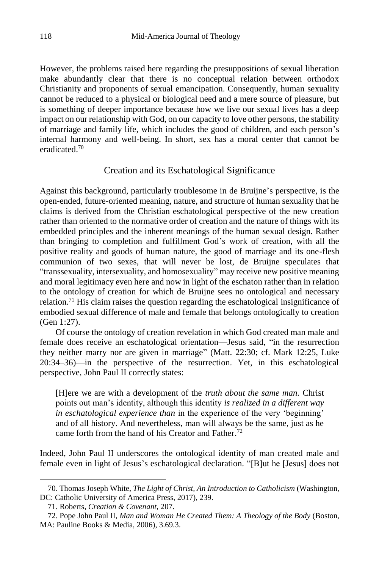However, the problems raised here regarding the presuppositions of sexual liberation make abundantly clear that there is no conceptual relation between orthodox Christianity and proponents of sexual emancipation. Consequently, human sexuality cannot be reduced to a physical or biological need and a mere source of pleasure, but is something of deeper importance because how we live our sexual lives has a deep impact on our relationship with God, on our capacity to love other persons, the stability of marriage and family life, which includes the good of children, and each person's internal harmony and well-being. In short, sex has a moral center that cannot be eradicated.<sup>70</sup>

### Creation and its Eschatological Significance

Against this background, particularly troublesome in de Bruijne's perspective, is the open-ended, future-oriented meaning, nature, and structure of human sexuality that he claims is derived from the Christian eschatological perspective of the new creation rather than oriented to the normative order of creation and the nature of things with its embedded principles and the inherent meanings of the human sexual design. Rather than bringing to completion and fulfillment God's work of creation, with all the positive reality and goods of human nature, the good of marriage and its one-flesh communion of two sexes, that will never be lost, de Bruijne speculates that "transsexuality, intersexuality, and homosexuality" may receive new positive meaning and moral legitimacy even here and now in light of the eschaton rather than in relation to the ontology of creation for which de Bruijne sees no ontological and necessary relation.<sup>71</sup> His claim raises the question regarding the eschatological insignificance of embodied sexual difference of male and female that belongs ontologically to creation (Gen 1:27).

Of course the ontology of creation revelation in which God created man male and female does receive an eschatological orientation—Jesus said, "in the resurrection they neither marry nor are given in marriage" (Matt. 22:30; cf. Mark 12:25, Luke 20:34–36)—in the perspective of the resurrection. Yet, in this eschatological perspective, John Paul II correctly states:

[H]ere we are with a development of the *truth about the same man.* Christ points out man's identity, although this identity *is realized in a different way in eschatological experience than* in the experience of the very 'beginning' and of all history. And nevertheless, man will always be the same, just as he came forth from the hand of his Creator and Father.<sup>72</sup>

Indeed, John Paul II underscores the ontological identity of man created male and female even in light of Jesus's eschatological declaration. "[B]ut he [Jesus] does not

<sup>70.</sup> Thomas Joseph White, *The Light of Christ, An Introduction to Catholicism* (Washington, DC: Catholic University of America Press, 2017), 239.

<sup>71.</sup> Roberts, *Creation & Covenant,* 207.

<sup>72.</sup> Pope John Paul II, *Man and Woman He Created Them: A Theology of the Body* (Boston, MA: Pauline Books & Media, 2006), 3.69.3.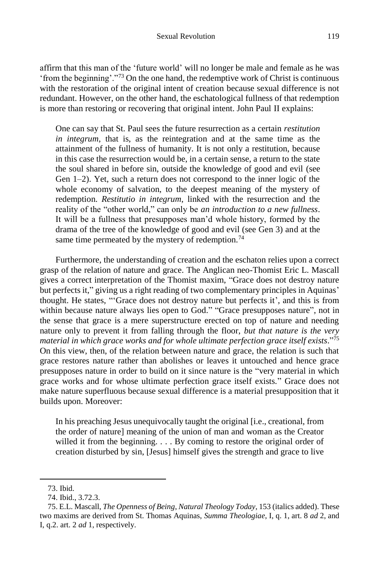affirm that this man of the 'future world' will no longer be male and female as he was 'from the beginning'."<sup>73</sup> On the one hand, the redemptive work of Christ is continuous with the restoration of the original intent of creation because sexual difference is not redundant. However, on the other hand, the eschatological fullness of that redemption is more than restoring or recovering that original intent. John Paul II explains:

One can say that St. Paul sees the future resurrection as a certain *restitution in integrum*, that is, as the reintegration and at the same time as the attainment of the fullness of humanity. It is not only a restitution, because in this case the resurrection would be, in a certain sense, a return to the state the soul shared in before sin, outside the knowledge of good and evil (see Gen 1–2). Yet, such a return does not correspond to the inner logic of the whole economy of salvation, to the deepest meaning of the mystery of redemption. *Restitutio in integrum*, linked with the resurrection and the reality of the "other world," can only be *an introduction to a new fullness*. It will be a fullness that presupposes man'd whole history, formed by the drama of the tree of the knowledge of good and evil (see Gen 3) and at the same time permeated by the mystery of redemption.<sup>74</sup>

Furthermore, the understanding of creation and the eschaton relies upon a correct grasp of the relation of nature and grace. The Anglican neo-Thomist Eric L. Mascall gives a correct interpretation of the Thomist maxim, "Grace does not destroy nature but perfects it," giving us a right reading of two complementary principles in Aquinas' thought. He states, "'Grace does not destroy nature but perfects it', and this is from within because nature always lies open to God." "Grace presupposes nature", not in the sense that grace is a mere superstructure erected on top of nature and needing nature only to prevent it from falling through the floor, *but that nature is the very material in which grace works and for whole ultimate perfection grace itself exists*." 75 On this view, then, of the relation between nature and grace, the relation is such that grace restores nature rather than abolishes or leaves it untouched and hence grace presupposes nature in order to build on it since nature is the "very material in which grace works and for whose ultimate perfection grace itself exists." Grace does not make nature superfluous because sexual difference is a material presupposition that it builds upon. Moreover:

In his preaching Jesus unequivocally taught the original [i.e., creational, from the order of nature] meaning of the union of man and woman as the Creator willed it from the beginning. . . . By coming to restore the original order of creation disturbed by sin, [Jesus] himself gives the strength and grace to live

<sup>73.</sup> Ibid.

<sup>74.</sup> Ibid., 3.72.3.

<sup>75.</sup> E.L. Mascall, *The Openness of Being*, *Natural Theology Today*, 153 (italics added). These two maxims are derived from St. Thomas Aquinas, *Summa Theologiae*, I, q. 1, art. 8 *ad* 2, and I, q.2. art. 2 *ad* 1, respectively.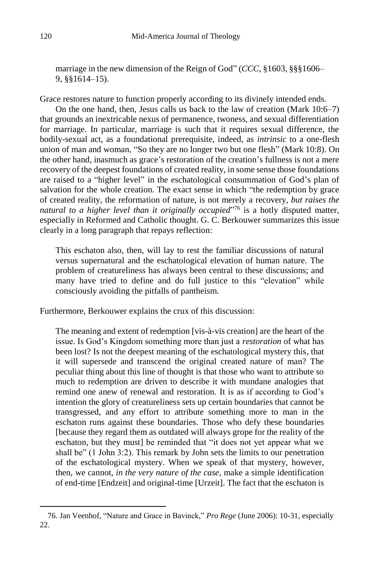marriage in the new dimension of the Reign of God" (*CCC*, §1603, §§§1606– 9, §§1614–15).

Grace restores nature to function properly according to its divinely intended ends.

On the one hand, then, Jesus calls us back to the law of creation (Mark 10:6–7) that grounds an inextricable nexus of permanence, twoness, and sexual differentiation for marriage. In particular, marriage is such that it requires sexual difference, the bodily-sexual act, as a foundational prerequisite, indeed, as *intrinsic* to a one-flesh union of man and woman, "So they are no longer two but one flesh" (Mark 10:8). On the other hand, inasmuch as grace's restoration of the creation's fullness is not a mere recovery of the deepest foundations of created reality, in some sense those foundations are raised to a "higher level" in the eschatological consummation of God's plan of salvation for the whole creation. The exact sense in which "the redemption by grace of created reality, the reformation of nature, is not merely a recovery, *but raises the natural to a higher level than it originally occupied*" <sup>76</sup> is a hotly disputed matter, especially in Reformed and Catholic thought. G. C. Berkouwer summarizes this issue clearly in a long paragraph that repays reflection:

This eschaton also, then, will lay to rest the familiar discussions of natural versus supernatural and the eschatological elevation of human nature. The problem of creatureliness has always been central to these discussions; and many have tried to define and do full justice to this "elevation" while consciously avoiding the pitfalls of pantheism.

Furthermore, Berkouwer explains the crux of this discussion:

The meaning and extent of redemption [vis-à-vis creation] are the heart of the issue. Is God's Kingdom something more than just a *restoration* of what has been lost? Is not the deepest meaning of the eschatological mystery this, that it will supersede and transcend the original created nature of man? The peculiar thing about this line of thought is that those who want to attribute so much to redemption are driven to describe it with mundane analogies that remind one anew of renewal and restoration. It is as if according to God's intention the glory of creatureliness sets up certain boundaries that cannot be transgressed, and any effort to attribute something more to man in the eschaton runs against these boundaries. Those who defy these boundaries [because they regard them as outdated will always grope for the reality of the eschaton, but they must] be reminded that "it does not yet appear what we shall be" (1 John 3:2). This remark by John sets the limits to our penetration of the eschatological mystery. When we speak of that mystery, however, then, we cannot, *in the very nature of the case*, make a simple identification of end-time [Endzeit] and original-time [Urzeit]. The fact that the eschaton is

l

<sup>76.</sup> Jan Veenhof, "Nature and Grace in Bavinck," *Pro Rege* (June 2006): 10-31, especially 22.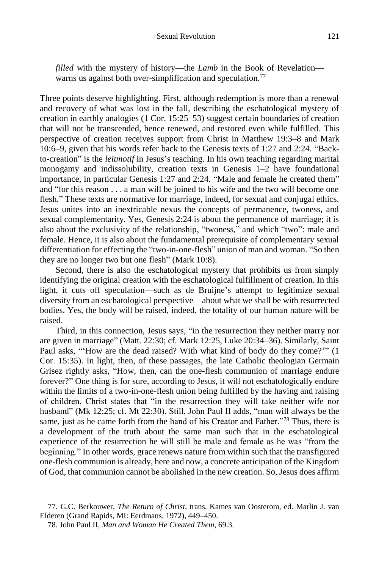*filled* with the mystery of history—the *Lamb* in the Book of Revelation warns us against both over-simplification and speculation.<sup>77</sup>

Three points deserve highlighting. First, although redemption is more than a renewal and recovery of what was lost in the fall, describing the eschatological mystery of creation in earthly analogies (1 Cor. 15:25–53) suggest certain boundaries of creation that will not be transcended, hence renewed, and restored even while fulfilled. This perspective of creation receives support from Christ in Matthew 19:3–8 and Mark 10:6–9, given that his words refer back to the Genesis texts of 1:27 and 2:24. "Backto-creation" is the *leitmotif* in Jesus's teaching. In his own teaching regarding marital monogamy and indissolubility, creation texts in Genesis 1–2 have foundational importance, in particular Genesis 1:27 and 2:24, "Male and female he created them" and "for this reason . . . a man will be joined to his wife and the two will become one flesh." These texts are normative for marriage, indeed, for sexual and conjugal ethics. Jesus unites into an inextricable nexus the concepts of permanence, twoness, and sexual complementarity. Yes, Genesis 2:24 is about the permanence of marriage; it is also about the exclusivity of the relationship, "twoness," and which "two": male and female. Hence, it is also about the fundamental prerequisite of complementary sexual differentiation for effecting the "two-in-one-flesh" union of man and woman. "So then they are no longer two but one flesh" (Mark 10:8).

Second, there is also the eschatological mystery that prohibits us from simply identifying the original creation with the eschatological fulfillment of creation. In this light, it cuts off speculation—such as de Bruijne's attempt to legitimize sexual diversity from an eschatological perspective—about what we shall be with resurrected bodies. Yes, the body will be raised, indeed, the totality of our human nature will be raised.

Third, in this connection, Jesus says, "in the resurrection they neither marry nor are given in marriage" (Matt. 22:30; cf. Mark 12:25, Luke 20:34–36). Similarly, Saint Paul asks, "'How are the dead raised? With what kind of body do they come?'" (1 Cor. 15:35). In light, then, of these passages, the late Catholic theologian Germain Grisez rightly asks, "How, then, can the one-flesh communion of marriage endure forever?" One thing is for sure, according to Jesus, it will not eschatologically endure within the limits of a two-in-one-flesh union being fulfilled by the having and raising of children. Christ states that "in the resurrection they will take neither wife nor husband" (Mk 12:25; cf. Mt 22:30). Still, John Paul II adds, "man will always be the same, just as he came forth from the hand of his Creator and Father."<sup>78</sup> Thus, there is a development of the truth about the same man such that in the eschatological experience of the resurrection he will still be male and female as he was "from the beginning." In other words, grace renews nature from within such that the transfigured one-flesh communion is already, here and now, a concrete anticipation of the Kingdom of God, that communion cannot be abolished in the new creation. So, Jesus does affirm

<sup>77.</sup> G.C. Berkouwer, *The Return of Christ*, trans. Kames van Oosterom, ed. Marlin J. van Elderen (Grand Rapids, MI: Eerdmans, 1972), 449–450.

<sup>78.</sup> John Paul II, *Man and Woman He Created Them,* 69.3.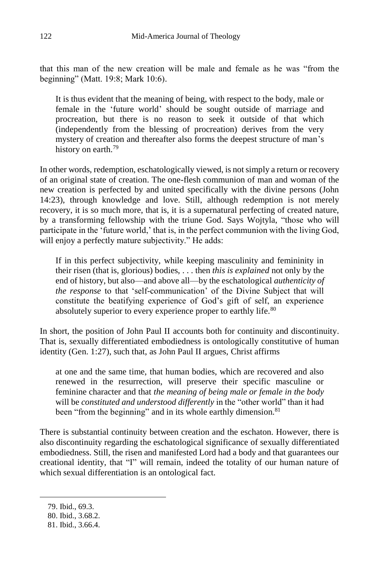that this man of the new creation will be male and female as he was "from the beginning" (Matt. 19:8; Mark 10:6).

It is thus evident that the meaning of being, with respect to the body, male or female in the 'future world' should be sought outside of marriage and procreation, but there is no reason to seek it outside of that which (independently from the blessing of procreation) derives from the very mystery of creation and thereafter also forms the deepest structure of man's history on earth.<sup>79</sup>

In other words, redemption, eschatologically viewed, is not simply a return or recovery of an original state of creation. The one-flesh communion of man and woman of the new creation is perfected by and united specifically with the divine persons (John 14:23), through knowledge and love. Still, although redemption is not merely recovery, it is so much more, that is, it is a supernatural perfecting of created nature, by a transforming fellowship with the triune God. Says Wojtyla, "those who will participate in the 'future world,' that is, in the perfect communion with the living God, will enjoy a perfectly mature subjectivity." He adds:

If in this perfect subjectivity, while keeping masculinity and femininity in their risen (that is, glorious) bodies, . . . then *this is explained* not only by the end of history, but also—and above all—by the eschatological *authenticity of the response* to that 'self-communication' of the Divine Subject that will constitute the beatifying experience of God's gift of self, an experience absolutely superior to every experience proper to earthly life.<sup>80</sup>

In short, the position of John Paul II accounts both for continuity and discontinuity. That is, sexually differentiated embodiedness is ontologically constitutive of human identity (Gen. 1:27), such that, as John Paul II argues, Christ affirms

at one and the same time, that human bodies, which are recovered and also renewed in the resurrection, will preserve their specific masculine or feminine character and that *the meaning of being male or female in the body*  will be *constituted and understood differently* in the "other world" than it had been "from the beginning" and in its whole earthly dimension.<sup>81</sup>

There is substantial continuity between creation and the eschaton. However, there is also discontinuity regarding the eschatological significance of sexually differentiated embodiedness. Still, the risen and manifested Lord had a body and that guarantees our creational identity, that "I" will remain, indeed the totality of our human nature of which sexual differentiation is an ontological fact.

<sup>79.</sup> Ibid., 69.3.

<sup>80.</sup> Ibid., 3.68.2.

<sup>81.</sup> Ibid., 3.66.4.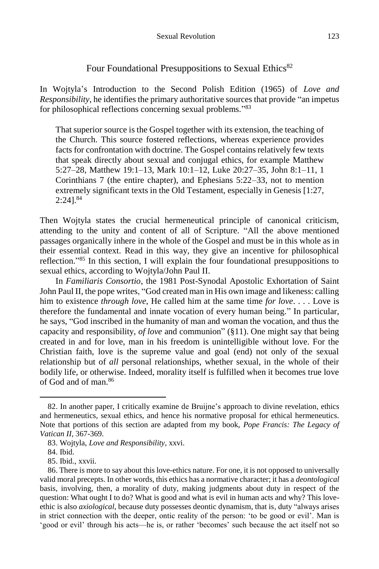### Four Foundational Presuppositions to Sexual Ethics<sup>82</sup>

In Wojtyla's Introduction to the Second Polish Edition (1965) of *Love and Responsibility*, he identifies the primary authoritative sources that provide "an impetus for philosophical reflections concerning sexual problems."83

That superior source is the Gospel together with its extension, the teaching of the Church. This source fostered reflections, whereas experience provides facts for confrontation with doctrine. The Gospel contains relatively few texts that speak directly about sexual and conjugal ethics, for example Matthew 5:27–28, Matthew 19:1–13, Mark 10:1–12, Luke 20:27–35, John 8:1–11, 1 Corinthians 7 (the entire chapter), and Ephesians 5:22–33, not to mention extremely significant texts in the Old Testament, especially in Genesis [1:27,  $2:241^{84}$ 

Then Wojtyla states the crucial hermeneutical principle of canonical criticism, attending to the unity and content of all of Scripture. "All the above mentioned passages organically inhere in the whole of the Gospel and must be in this whole as in their essential context. Read in this way, they give an incentive for philosophical reflection."<sup>85</sup> In this section, I will explain the four foundational presuppositions to sexual ethics, according to Wojtyla/John Paul II.

In *Familiaris Consortio*, the 1981 Post-Synodal Apostolic Exhortation of Saint John Paul II, the pope writes, "God created man in His own image and likeness: calling him to existence *through love*, He called him at the same time *for love*. . . . Love is therefore the fundamental and innate vocation of every human being." In particular, he says, "God inscribed in the humanity of man and woman the vocation, and thus the capacity and responsibility, *of love* and communion" (§11). One might say that being created in and for love, man in his freedom is unintelligible without love. For the Christian faith, love is the supreme value and goal (end) not only of the sexual relationship but of *all* personal relationships, whether sexual, in the whole of their bodily life, or otherwise. Indeed, morality itself is fulfilled when it becomes true love of God and of man  $86$ 

<sup>82.</sup> In another paper, I critically examine de Bruijne's approach to divine revelation, ethics and hermeneutics, sexual ethics, and hence his normative proposal for ethical hermeneutics. Note that portions of this section are adapted from my book, *Pope Francis: The Legacy of Vatican II*, 367-369.

<sup>83.</sup> Wojtyla, *Love and Responsibility*, xxvi.

<sup>84.</sup> Ibid.

<sup>85.</sup> Ibid., xxvii.

<sup>86.</sup> There is more to say about this love-ethics nature. For one, it is not opposed to universally valid moral precepts. In other words, this ethics has a normative character; it has a *deontological* basis, involving, then, a morality of duty, making judgments about duty in respect of the question: What ought I to do? What is good and what is evil in human acts and why? This loveethic is also *axiological*, because duty possesses deontic dynamism, that is, duty "always arises in strict connection with the deeper, ontic reality of the person: 'to be good or evil'. Man is 'good or evil' through his acts—he is, or rather 'becomes' such because the act itself not so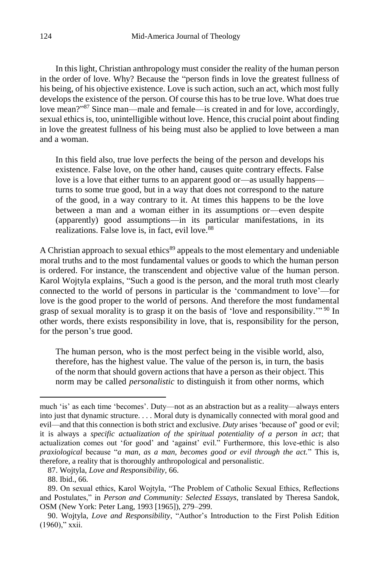In this light, Christian anthropology must consider the reality of the human person in the order of love. Why? Because the "person finds in love the greatest fullness of his being, of his objective existence. Love is such action, such an act, which most fully develops the existence of the person. Of course this has to be true love. What does true love mean?"<sup>87</sup> Since man—male and female—is created in and for love, accordingly, sexual ethics is, too, unintelligible without love. Hence, this crucial point about finding in love the greatest fullness of his being must also be applied to love between a man and a woman.

In this field also, true love perfects the being of the person and develops his existence. False love, on the other hand, causes quite contrary effects. False love is a love that either turns to an apparent good or—as usually happens turns to some true good, but in a way that does not correspond to the nature of the good, in a way contrary to it. At times this happens to be the love between a man and a woman either in its assumptions or—even despite (apparently) good assumptions—in its particular manifestations, in its realizations. False love is, in fact, evil love.<sup>88</sup>

A Christian approach to sexual ethics<sup>89</sup> appeals to the most elementary and undeniable moral truths and to the most fundamental values or goods to which the human person is ordered. For instance, the transcendent and objective value of the human person. Karol Wojtyla explains, "Such a good is the person, and the moral truth most clearly connected to the world of persons in particular is the 'commandment to love'—for love is the good proper to the world of persons. And therefore the most fundamental grasp of sexual morality is to grasp it on the basis of 'love and responsibility."<sup>90</sup> In other words, there exists responsibility in love, that is, responsibility for the person, for the person's true good.

The human person, who is the most perfect being in the visible world, also, therefore, has the highest value. The value of the person is, in turn, the basis of the norm that should govern actions that have a person as their object. This norm may be called *personalistic* to distinguish it from other norms, which

much 'is' as each time 'becomes'. Duty—not as an abstraction but as a reality—always enters into just that dynamic structure. . . . Moral duty is dynamically connected with moral good and evil—and that this connection is both strict and exclusive. *Duty* arises 'because of' good or evil; it is always a *specific actualization of the spiritual potentiality of a person in act*; that actualization comes out 'for good' and 'against' evil." Furthermore, this love-ethic is also *praxiological* because "*a man, as a man, becomes good or evil through the act.*" This is, therefore, a reality that is thoroughly anthropological and personalistic.

<sup>87.</sup> Wojtyla, *Love and Responsibility*, 66.

<sup>88.</sup> Ibid., 66.

<sup>89.</sup> On sexual ethics, Karol Wojtyla, "The Problem of Catholic Sexual Ethics, Reflections and Postulates," in *Person and Community: Selected Essays*, translated by Theresa Sandok, OSM (New York: Peter Lang, 1993 [1965]), 279–299.

<sup>90.</sup> Wojtyla, *Love and Responsibility*, "Author's Introduction to the First Polish Edition (1960)," xxii.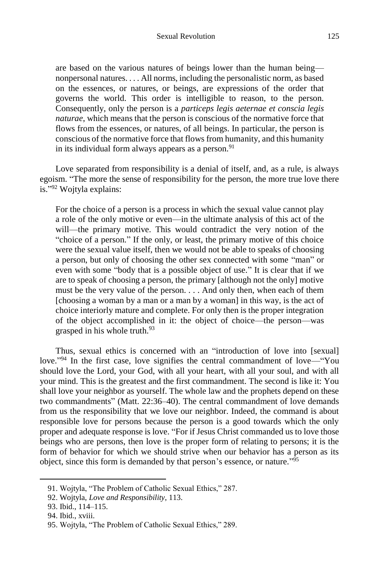are based on the various natures of beings lower than the human being nonpersonal natures. . . . All norms, including the personalistic norm, as based on the essences, or natures, or beings, are expressions of the order that governs the world. This order is intelligible to reason, to the person. Consequently, only the person is a *particeps legis aeternae et conscia legis naturae*, which means that the person is conscious of the normative force that flows from the essences, or natures, of all beings. In particular, the person is conscious of the normative force that flows from humanity, and this humanity in its individual form always appears as a person. $91$ 

Love separated from responsibility is a denial of itself, and, as a rule, is always egoism. "The more the sense of responsibility for the person, the more true love there is." <sup>92</sup> Wojtyla explains:

For the choice of a person is a process in which the sexual value cannot play a role of the only motive or even—in the ultimate analysis of this act of the will—the primary motive. This would contradict the very notion of the "choice of a person." If the only, or least, the primary motive of this choice were the sexual value itself, then we would not be able to speaks of choosing a person, but only of choosing the other sex connected with some "man" or even with some "body that is a possible object of use." It is clear that if we are to speak of choosing a person, the primary [although not the only] motive must be the very value of the person. . . . And only then, when each of them [choosing a woman by a man or a man by a woman] in this way, is the act of choice interiorly mature and complete. For only then is the proper integration of the object accomplished in it: the object of choice—the person—was grasped in his whole truth.<sup>93</sup>

Thus, sexual ethics is concerned with an "introduction of love into [sexual] love."<sup>94</sup> In the first case, love signifies the central commandment of love—"You should love the Lord, your God, with all your heart, with all your soul, and with all your mind. This is the greatest and the first commandment. The second is like it: You shall love your neighbor as yourself. The whole law and the prophets depend on these two commandments" (Matt. 22:36–40). The central commandment of love demands from us the responsibility that we love our neighbor. Indeed, the command is about responsible love for persons because the person is a good towards which the only proper and adequate response is love. "For if Jesus Christ commanded us to love those beings who are persons, then love is the proper form of relating to persons; it is the form of behavior for which we should strive when our behavior has a person as its object, since this form is demanded by that person's essence, or nature." 95

<sup>91.</sup> Wojtyla, "The Problem of Catholic Sexual Ethics," 287.

<sup>92.</sup> Wojtyla, *Love and Responsibility*, 113.

<sup>93.</sup> Ibid., 114–115.

<sup>94.</sup> Ibid., xviii.

<sup>95.</sup> Wojtyla, "The Problem of Catholic Sexual Ethics," 289.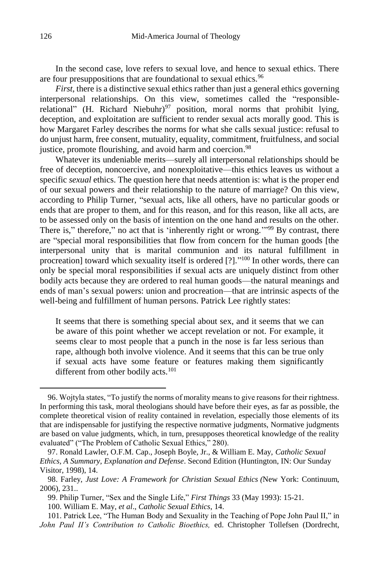In the second case, love refers to sexual love, and hence to sexual ethics. There are four presuppositions that are foundational to sexual ethics.<sup>96</sup>

*First*, there is a distinctive sexual ethics rather than just a general ethics governing interpersonal relationships. On this view, sometimes called the "responsiblerelational" (H. Richard Niebuhr)<sup>97</sup> position, moral norms that prohibit lying, deception, and exploitation are sufficient to render sexual acts morally good. This is how Margaret Farley describes the norms for what she calls sexual justice: refusal to do unjust harm, free consent, mutuality, equality, commitment, fruitfulness, and social justice, promote flourishing, and avoid harm and coercion.<sup>98</sup>

Whatever its undeniable merits—surely all interpersonal relationships should be free of deception, noncoercive, and nonexploitative—this ethics leaves us without a specific *sexual* ethics. The question here that needs attention is: what is the proper end of our sexual powers and their relationship to the nature of marriage? On this view, according to Philip Turner, "sexual acts, like all others, have no particular goods or ends that are proper to them, and for this reason, and for this reason, like all acts, are to be assessed only on the basis of intention on the one hand and results on the other. There is," therefore," no act that is 'inherently right or wrong."<sup>99</sup> By contrast, there are "special moral responsibilities that flow from concern for the human goods [the interpersonal unity that is marital communion and its natural fulfillment in procreation] toward which sexuality itself is ordered [?]."<sup>100</sup> In other words, there can only be special moral responsibilities if sexual acts are uniquely distinct from other bodily acts because they are ordered to real human goods—the natural meanings and ends of man's sexual powers: union and procreation—that are intrinsic aspects of the well-being and fulfillment of human persons. Patrick Lee rightly states:

It seems that there is something special about sex, and it seems that we can be aware of this point whether we accept revelation or not. For example, it seems clear to most people that a punch in the nose is far less serious than rape, although both involve violence. And it seems that this can be true only if sexual acts have some feature or features making them significantly different from other bodily acts.<sup>101</sup>

<sup>96.</sup> Wojtyla states, "To justify the norms of morality means to give reasons for their rightness. In performing this task, moral theologians should have before their eyes, as far as possible, the complete theoretical vision of reality contained in revelation, especially those elements of its that are indispensable for justifying the respective normative judgments, Normative judgments are based on value judgments, which, in turn, presupposes theoretical knowledge of the reality evaluated" ("The Problem of Catholic Sexual Ethics," 280).

<sup>97.</sup> Ronald Lawler, O.F.M. Cap., Joseph Boyle, Jr., & William E. May, *Catholic Sexual Ethics, A Summary, Explanation and Defense*. Second Edition (Huntington, IN: Our Sunday Visitor, 1998), 14.

<sup>98.</sup> Farley, *Just Love: A Framework for Christian Sexual Ethics (*New York: Continuum, 2006), 231..

<sup>99.</sup> Philip Turner, "Sex and the Single Life," *First Things* 33 (May 1993): 15-21.

<sup>100.</sup> William E. May, *et al*., *Catholic Sexual Ethics*, 14.

<sup>101.</sup> Patrick Lee, "The Human Body and Sexuality in the Teaching of Pope John Paul II," in *John Paul II's Contribution to Catholic Bioethics,* ed. Christopher Tollefsen (Dordrecht,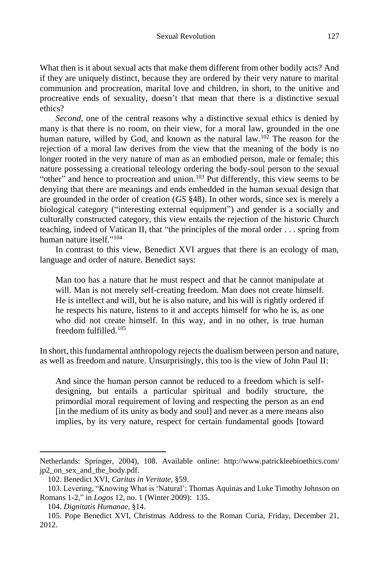What then is it about sexual acts that make them different from other bodily acts? And if they are uniquely distinct, because they are ordered by their very nature to marital communion and procreation, marital love and children, in short, to the unitive and procreative ends of sexuality, doesn't that mean that there is a distinctive sexual ethics?

*Second*, one of the central reasons why a distinctive sexual ethics is denied by many is that there is no room, on their view, for a moral law, grounded in the one human nature, willed by God, and known as the natural law.<sup>102</sup> The reason for the rejection of a moral law derives from the view that the meaning of the body is no longer rooted in the very nature of man as an embodied person, male or female; this nature possessing a creational teleology ordering the body-soul person to the sexual "other" and hence to procreation and union. $103$  Put differently, this view seems to be denying that there are meanings and ends embedded in the human sexual design that are grounded in the order of creation (*GS* §48). In other words, since sex is merely a biological category ("interesting external equipment") and gender is a socially and culturally constructed category, this view entails the rejection of the historic Church teaching, indeed of Vatican II, that "the principles of the moral order . . . spring from human nature itself." 104

In contrast to this view, Benedict XVI argues that there is an ecology of man, language and order of nature. Benedict says:

Man too has a nature that he must respect and that he cannot manipulate at will. Man is not merely self-creating freedom. Man does not create himself. He is intellect and will, but he is also nature, and his will is rightly ordered if he respects his nature, listens to it and accepts himself for who he is, as one who did not create himself. In this way, and in no other, is true human freedom fulfilled.<sup>105</sup>

In short, this fundamental anthropology rejects the dualism between person and nature, as well as freedom and nature. Unsurprisingly, this too is the view of John Paul II:

And since the human person cannot be reduced to a freedom which is selfdesigning, but entails a particular spiritual and bodily structure, the primordial moral requirement of loving and respecting the person as an end [in the medium of its unity as body and soul] and never as a mere means also implies, by its very nature, respect for certain fundamental goods [toward

Netherlands: Springer, 2004), 108. Available online: http://www.patrickleebioethics.com/ jp2\_on\_sex\_and\_the\_body.pdf.

<sup>102.</sup> Benedict XVI, *Caritas in Veritate*, §59.

<sup>103.</sup> Levering, "Knowing What is 'Natural': Thomas Aquinas and Luke Timothy Johnson on Romans 1-2," in *Logos* 12, no. 1 (Winter 2009): 135.

<sup>104.</sup> *Dignitatis Humanae*, §14.

<sup>105.</sup> Pope Benedict XVI, Christmas Address to the Roman Curia, Friday, December 21, 2012.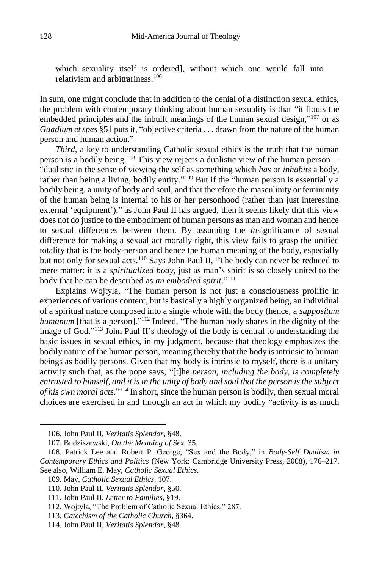which sexuality itself is ordered], without which one would fall into relativism and arbitrariness.<sup>106</sup>

In sum, one might conclude that in addition to the denial of a distinction sexual ethics, the problem with contemporary thinking about human sexuality is that "it flouts the embedded principles and the inbuilt meanings of the human sexual design,"<sup>107</sup> or as *Guadium et spes* §51 puts it, "objective criteria . . . drawn from the nature of the human person and human action."

*Third*, a key to understanding Catholic sexual ethics is the truth that the human person is a bodily being.<sup>108</sup> This view rejects a dualistic view of the human person— "dualistic in the sense of viewing the self as something which *has* or *inhabits* a body, rather than being a living, bodily entity."<sup>109</sup> But if the "human person is essentially a bodily being, a unity of body and soul, and that therefore the masculinity or femininity of the human being is internal to his or her personhood (rather than just interesting external 'equipment')," as John Paul II has argued, then it seems likely that this view does not do justice to the embodiment of human persons as man and woman and hence to sexual differences between them. By assuming the *in*significance of sexual difference for making a sexual act morally right, this view fails to grasp the unified totality that is the body-person and hence the human meaning of the body, especially but not only for sexual acts.<sup>110</sup> Says John Paul II, "The body can never be reduced to mere matter: it is a *spiritualized body*, just as man's spirit is so closely united to the body that he can be described as *an embodied spirit*." 111

Explains Wojtyla, "The human person is not just a consciousness prolific in experiences of various content, but is basically a highly organized being, an individual of a spiritual nature composed into a single whole with the body (hence, a *suppositum*  humanum [that is a person]."<sup>112</sup> Indeed, "The human body shares in the dignity of the image of God."<sup>113</sup> John Paul II's theology of the body is central to understanding the basic issues in sexual ethics, in my judgment, because that theology emphasizes the bodily nature of the human person, meaning thereby that the body is intrinsic to human beings as bodily persons. Given that my body is intrinsic to myself, there is a unitary activity such that, as the pope says, "[t]he *person, including the body, is completely entrusted to himself, and it is in the unity of body and soul that the person is the subject of his own moral acts*." <sup>114</sup> In short, since the human person is bodily, then sexual moral choices are exercised in and through an act in which my bodily "activity is as much

<sup>106.</sup> John Paul II, *Veritatis Splendor*, §48.

<sup>107.</sup> Budziszewski, *On the Meaning of Sex,* 35.

<sup>108.</sup> Patrick Lee and Robert P. George, "Sex and the Body," in *Body-Self Dualism in Contemporary Ethics and Politics* (New York: Cambridge University Press, 2008), 176–217. See also, William E. May, *Catholic Sexual Ethics*.

<sup>109.</sup> May, *Catholic Sexual Ethics*, 107.

<sup>110.</sup> John Paul II, *Veritatis Splendor*, §50.

<sup>111.</sup> John Paul II, *Letter to Families*, §19.

<sup>112.</sup> Wojtyla, "The Problem of Catholic Sexual Ethics," 287.

<sup>113.</sup> *Catechism of the Catholic Church*, §364.

<sup>114.</sup> John Paul II, *Veritatis Splendor*, §48.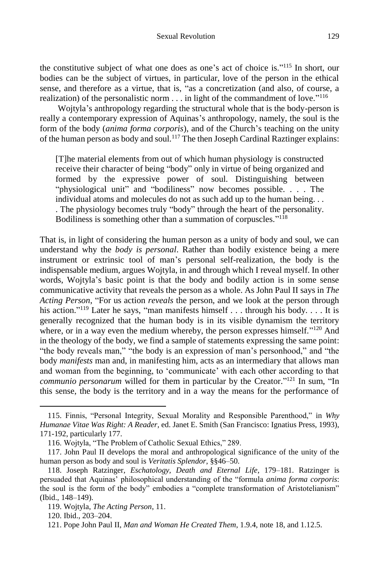the constitutive subject of what one does as one's act of choice is." <sup>115</sup> In short, our bodies can be the subject of virtues, in particular, love of the person in the ethical sense, and therefore as a virtue, that is, "as a concretization (and also, of course, a realization) of the personalistic norm . . . in light of the commandment of love."<sup>116</sup>

Wojtyla's anthropology regarding the structural whole that is the body-person is really a contemporary expression of Aquinas's anthropology, namely, the soul is the form of the body (*anima forma corporis*), and of the Church's teaching on the unity of the human person as body and soul.<sup>117</sup> The then Joseph Cardinal Raztinger explains:

[T]he material elements from out of which human physiology is constructed receive their character of being "body" only in virtue of being organized and formed by the expressive power of soul. Distinguishing between "physiological unit" and "bodiliness" now becomes possible. . . . The individual atoms and molecules do not as such add up to the human being. . . . The physiology becomes truly "body" through the heart of the personality. Bodiliness is something other than a summation of corpuscles."<sup>118</sup>

That is, in light of considering the human person as a unity of body and soul, we can understand why the *body is personal*. Rather than bodily existence being a mere instrument or extrinsic tool of man's personal self-realization, the body is the indispensable medium, argues Wojtyla, in and through which I reveal myself. In other words, Wojtyla's basic point is that the body and bodily action is in some sense communicative activity that reveals the person as a whole. As John Paul II says in *The Acting Person*, "For us action *reveals* the person, and we look at the person through his action."<sup>119</sup> Later he says, "man manifests himself . . . through his body. . . . It is generally recognized that the human body is in its visible dynamism the territory where, or in a way even the medium whereby, the person expresses himself."<sup>120</sup> And in the theology of the body, we find a sample of statements expressing the same point: "the body reveals man," "the body is an expression of man's personhood," and "the body *manifests* man and, in manifesting him, acts as an intermediary that allows man and woman from the beginning, to 'communicate' with each other according to that *communio personarum* willed for them in particular by the Creator."<sup>121</sup> In sum, "In this sense, the body is the territory and in a way the means for the performance of

<sup>115.</sup> Finnis, "Personal Integrity, Sexual Morality and Responsible Parenthood," in *Why Humanae Vitae Was Right: A Reader,* ed. Janet E. Smith (San Francisco: Ignatius Press, 1993), 171-192, particularly 177.

<sup>116.</sup> Wojtyla, "The Problem of Catholic Sexual Ethics," 289.

<sup>117.</sup> John Paul II develops the moral and anthropological significance of the unity of the human person as body and soul is *Veritatis Splendor*, §§46–50.

<sup>118.</sup> Joseph Ratzinger, *Eschatology, Death and Eternal Life*, 179–181. Ratzinger is persuaded that Aquinas' philosophical understanding of the "formula *anima forma corporis*: the soul is the form of the body" embodies a "complete transformation of Aristotelianism" (Ibid., 148–149).

<sup>119.</sup> Wojtyla, *The Acting Person*, 11.

<sup>120.</sup> Ibid., 203–204.

<sup>121.</sup> Pope John Paul II, *Man and Woman He Created Them*, 1.9.4, note 18, and 1.12.5.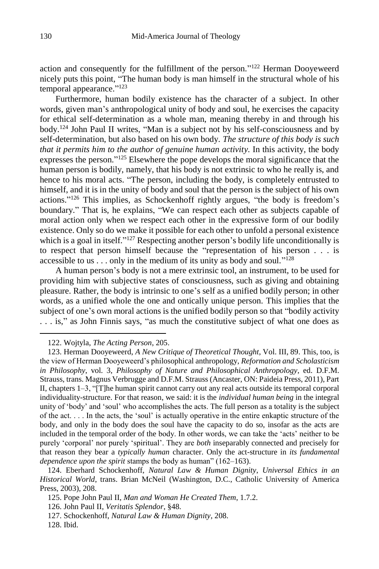action and consequently for the fulfillment of the person."<sup>122</sup> Herman Dooyeweerd nicely puts this point, "The human body is man himself in the structural whole of his temporal appearance."<sup>123</sup>

Furthermore, human bodily existence has the character of a subject. In other words, given man's anthropological unity of body and soul, he exercises the capacity for ethical self-determination as a whole man, meaning thereby in and through his body.<sup>124</sup> John Paul II writes, "Man is a subject not by his self-consciousness and by self-determination, but also based on his own body. *The structure of this body is such that it permits him to the author of genuine human activity.* In this activity, the body expresses the person."<sup>125</sup> Elsewhere the pope develops the moral significance that the human person is bodily, namely, that his body is not extrinsic to who he really is, and hence to his moral acts. "The person, including the body, is completely entrusted to himself, and it is in the unity of body and soul that the person is the subject of his own actions." <sup>126</sup> This implies, as Schockenhoff rightly argues, "the body is freedom's boundary." That is, he explains, "We can respect each other as subjects capable of moral action only when we respect each other in the expressive form of our bodily existence. Only so do we make it possible for each other to unfold a personal existence which is a goal in itself."<sup>127</sup> Respecting another person's bodily life unconditionally is to respect that person himself because the "representation of his person . . . is accessible to us . . . only in the medium of its unity as body and soul."<sup>128</sup>

A human person's body is not a mere extrinsic tool, an instrument, to be used for providing him with subjective states of consciousness, such as giving and obtaining pleasure. Rather, the body is intrinsic to one's self as a unified bodily person; in other words, as a unified whole the one and ontically unique person. This implies that the subject of one's own moral actions is the unified bodily person so that "bodily activity . . . is," as John Finnis says, "as much the constitutive subject of what one does as

122. Wojtyla, *The Acting Person*, 205.

127. Schockenhoff, *Natural Law & Human Dignity*, 208.

<sup>123.</sup> Herman Dooyeweerd, *A New Critique of Theoretical Thought*, Vol. III, 89. This, too, is the view of Herman Dooyeweerd's philosophical anthropology, *Reformation and Scholasticism in Philosophy*, vol. 3, *Philosophy of Nature and Philosophical Anthropology*, ed. D.F.M. Strauss, trans. Magnus Verbrugge and D.F.M. Strauss (Ancaster, ON: Paideia Press, 2011), Part II, chapters 1–3, "[T]he human spirit cannot carry out any real acts outside its temporal corporal individuality-structure. For that reason, we said: it is the *individual human being* in the integral unity of 'body' and 'soul' who accomplishes the acts. The full person as a totality is the subject of the act. . . . In the acts, the 'soul' is actually operative in the entire enkaptic structure of the body, and only in the body does the soul have the capacity to do so, insofar as the acts are included in the temporal order of the body. In other words, we can take the 'acts' neither to be purely 'corporal' nor purely 'spiritual'. They are *both* inseparably connected and precisely for that reason they bear a *typically human* character. Only the act-structure in *its fundamental dependence upon the spirit* stamps the body as human" (162–163).

<sup>124.</sup> Eberhard Schockenhoff, *Natural Law & Human Dignity*, *Universal Ethics in an Historical World*, trans. Brian McNeil (Washington, D.C., Catholic University of America Press, 2003), 208.

<sup>125.</sup> Pope John Paul II, *Man and Woman He Created Them*, 1.7.2.

<sup>126.</sup> John Paul II, *Veritatis Splendor*, §48.

<sup>128.</sup> Ibid.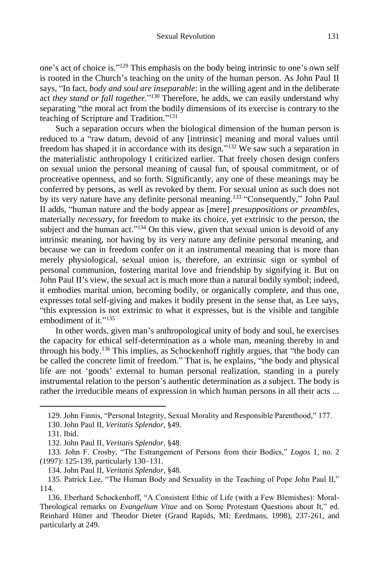one's act of choice is." <sup>129</sup> This emphasis on the body being intrinsic to one's own self is rooted in the Church's teaching on the unity of the human person. As John Paul II says, "In fact, *body and soul are inseparable*: in the willing agent and in the deliberate act *they stand or fall together*." <sup>130</sup> Therefore, he adds, we can easily understand why separating "the moral act from the bodily dimensions of its exercise is contrary to the teaching of Scripture and Tradition." 131

Such a separation occurs when the biological dimension of the human person is reduced to a "raw datum, devoid of any [intrinsic] meaning and moral values until freedom has shaped it in accordance with its design." <sup>132</sup> We saw such a separation in the materialistic anthropology I criticized earlier. That freely chosen design confers on sexual union the personal meaning of causal fun, of spousal commitment, or of procreative openness, and so forth. Significantly, any one of these meanings may be conferred by persons, as well as revoked by them. For sexual union as such does not by its very nature have any definite personal meaning.<sup>133</sup> "Consequently," John Paul II adds, "human nature and the body appear as [mere] *presuppositions or preambles*, materially *necessary*, for freedom to make its choice, yet extrinsic to the person, the subject and the human act."<sup>134</sup> On this view, given that sexual union is devoid of any intrinsic meaning, not having by its very nature any definite personal meaning, and because we can in freedom confer on it an instrumental meaning that is more than merely physiological, sexual union is, therefore, an extrinsic sign or symbol of personal communion, fostering marital love and friendship by signifying it. But on John Paul II's view, the sexual act is much more than a natural bodily symbol; indeed, it embodies marital union, becoming bodily, or organically complete, and thus one, expresses total self-giving and makes it bodily present in the sense that, as Lee says, "this expression is not extrinsic to what it expresses, but is the visible and tangible embodiment of it."<sup>135</sup>

In other words, given man's anthropological unity of body and soul, he exercises the capacity for ethical self-determination as a whole man, meaning thereby in and through his body.<sup>136</sup> This implies, as Schockenhoff rightly argues, that "the body can be called the concrete limit of freedom." That is, he explains, "the body and physical life are not 'goods' external to human personal realization, standing in a purely instrumental relation to the person's authentic determination as a subject. The body is rather the irreducible means of expression in which human persons in all their acts ...

<sup>129.</sup> John Finnis, "Personal Integrity, Sexual Morality and Responsible Parenthood," 177.

<sup>130.</sup> John Paul II, *Veritatis Splendor*, §49.

<sup>131.</sup> Ibid.

<sup>132.</sup> John Paul II, *Veritatis Splendor*, §48.

<sup>133.</sup> John F. Crosby, "The Estrangement of Persons from their Bodies," *Logos* 1, no. 2 (1997): 125-139, particularly 130–131.

<sup>134.</sup> John Paul II, *Veritatis Splendor*, §48.

<sup>135.</sup> Patrick Lee, "The Human Body and Sexuality in the Teaching of Pope John Paul II," 114.

<sup>136.</sup> Eberhard Schockenhoff, "A Consistent Ethic of Life (with a Few Blemishes): Moral-Theological remarks on *Evangelium Vitae* and on Some Protestant Questions about It," ed. Reinhard Hütter and Theodor Dieter (Grand Rapids, MI: Eerdmans, 1998), 237-261, and particularly at 249.